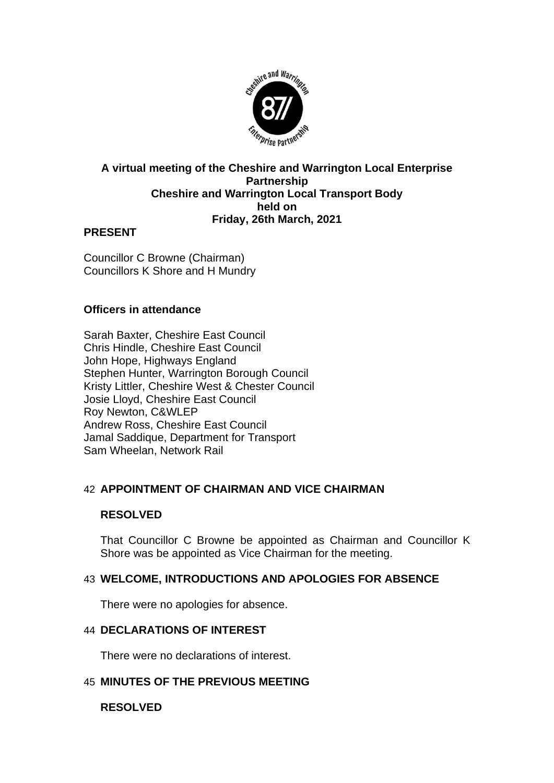

## **A virtual meeting of the Cheshire and Warrington Local Enterprise Partnership Cheshire and Warrington Local Transport Body held on Friday, 26th March, 2021**

## **PRESENT**

Councillor C Browne (Chairman) Councillors K Shore and H Mundry

### **Officers in attendance**

Sarah Baxter, Cheshire East Council Chris Hindle, Cheshire East Council John Hope, Highways England Stephen Hunter, Warrington Borough Council Kristy Littler, Cheshire West & Chester Council Josie Lloyd, Cheshire East Council Roy Newton, C&WLEP Andrew Ross, Cheshire East Council Jamal Saddique, Department for Transport Sam Wheelan, Network Rail

### 42 **APPOINTMENT OF CHAIRMAN AND VICE CHAIRMAN**

#### **RESOLVED**

That Councillor C Browne be appointed as Chairman and Councillor K Shore was be appointed as Vice Chairman for the meeting.

### 43 **WELCOME, INTRODUCTIONS AND APOLOGIES FOR ABSENCE**

There were no apologies for absence.

#### 44 **DECLARATIONS OF INTEREST**

There were no declarations of interest.

### 45 **MINUTES OF THE PREVIOUS MEETING**

### **RESOLVED**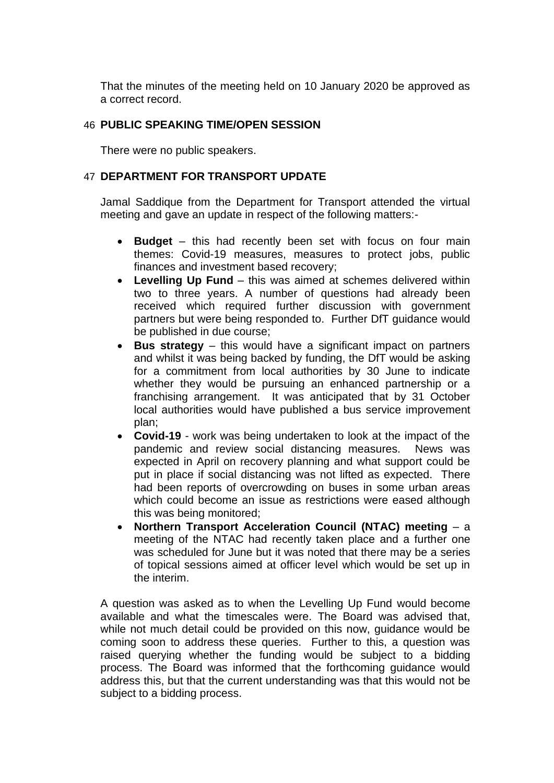That the minutes of the meeting held on 10 January 2020 be approved as a correct record.

### 46 **PUBLIC SPEAKING TIME/OPEN SESSION**

There were no public speakers.

### 47 **DEPARTMENT FOR TRANSPORT UPDATE**

Jamal Saddique from the Department for Transport attended the virtual meeting and gave an update in respect of the following matters:-

- **Budget** this had recently been set with focus on four main themes: Covid-19 measures, measures to protect jobs, public finances and investment based recovery;
- **Levelling Up Fund** this was aimed at schemes delivered within two to three years. A number of questions had already been received which required further discussion with government partners but were being responded to. Further DfT guidance would be published in due course;
- **Bus strategy** this would have a significant impact on partners and whilst it was being backed by funding, the DfT would be asking for a commitment from local authorities by 30 June to indicate whether they would be pursuing an enhanced partnership or a franchising arrangement. It was anticipated that by 31 October local authorities would have published a bus service improvement plan;
- **Covid-19** work was being undertaken to look at the impact of the pandemic and review social distancing measures. News was expected in April on recovery planning and what support could be put in place if social distancing was not lifted as expected. There had been reports of overcrowding on buses in some urban areas which could become an issue as restrictions were eased although this was being monitored;
- **Northern Transport Acceleration Council (NTAC) meeting** a meeting of the NTAC had recently taken place and a further one was scheduled for June but it was noted that there may be a series of topical sessions aimed at officer level which would be set up in the interim.

A question was asked as to when the Levelling Up Fund would become available and what the timescales were. The Board was advised that, while not much detail could be provided on this now, guidance would be coming soon to address these queries. Further to this, a question was raised querying whether the funding would be subject to a bidding process. The Board was informed that the forthcoming guidance would address this, but that the current understanding was that this would not be subject to a bidding process.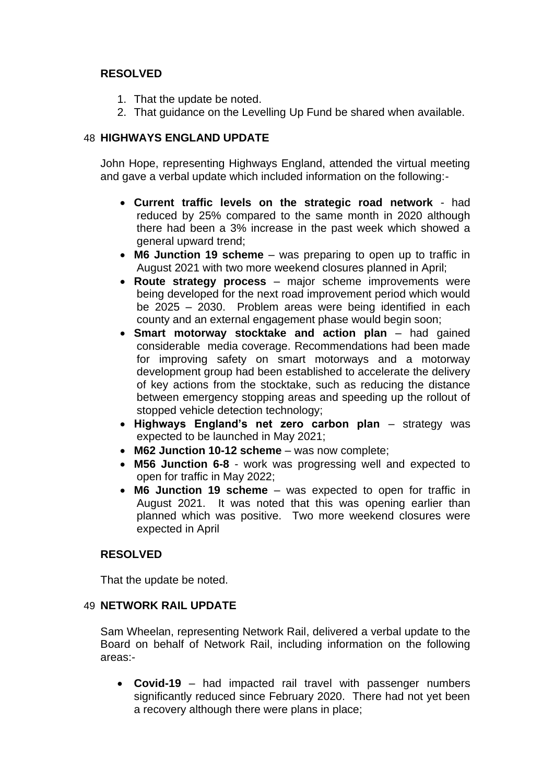## **RESOLVED**

- 1. That the update be noted.
- 2. That guidance on the Levelling Up Fund be shared when available.

## 48 **HIGHWAYS ENGLAND UPDATE**

John Hope, representing Highways England, attended the virtual meeting and gave a verbal update which included information on the following:-

- **Current traffic levels on the strategic road network** had reduced by 25% compared to the same month in 2020 although there had been a 3% increase in the past week which showed a general upward trend;
- **M6 Junction 19 scheme** was preparing to open up to traffic in August 2021 with two more weekend closures planned in April;
- **Route strategy process** major scheme improvements were being developed for the next road improvement period which would be 2025 – 2030. Problem areas were being identified in each county and an external engagement phase would begin soon;
- **Smart motorway stocktake and action plan** had gained considerable media coverage. Recommendations had been made for improving safety on smart motorways and a motorway development group had been established to accelerate the delivery of key actions from the stocktake, such as reducing the distance between emergency stopping areas and speeding up the rollout of stopped vehicle detection technology;
- **Highways England's net zero carbon plan** strategy was expected to be launched in May 2021;
- **M62 Junction 10-12 scheme** was now complete;
- **M56 Junction 6-8** work was progressing well and expected to open for traffic in May 2022;
- **M6 Junction 19 scheme** was expected to open for traffic in August 2021. It was noted that this was opening earlier than planned which was positive. Two more weekend closures were expected in April

# **RESOLVED**

That the update be noted.

### 49 **NETWORK RAIL UPDATE**

Sam Wheelan, representing Network Rail, delivered a verbal update to the Board on behalf of Network Rail, including information on the following areas:-

• **Covid-19** – had impacted rail travel with passenger numbers significantly reduced since February 2020. There had not yet been a recovery although there were plans in place;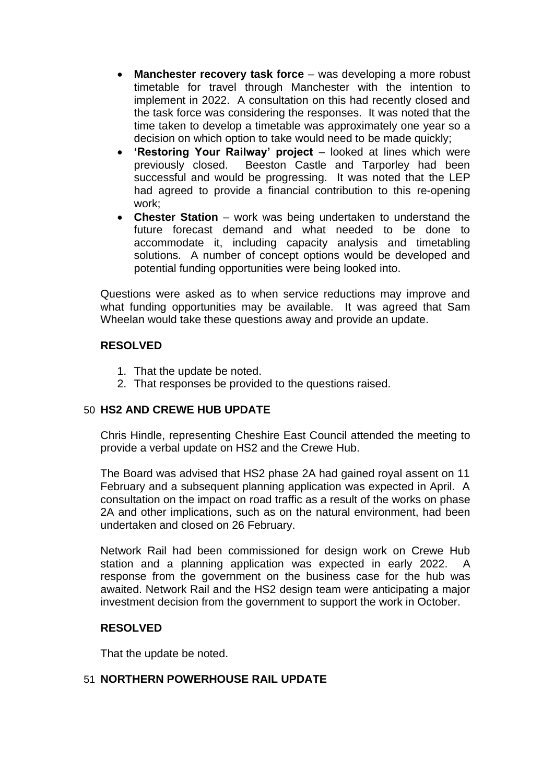- **Manchester recovery task force** was developing a more robust timetable for travel through Manchester with the intention to implement in 2022. A consultation on this had recently closed and the task force was considering the responses. It was noted that the time taken to develop a timetable was approximately one year so a decision on which option to take would need to be made quickly;
- **'Restoring Your Railway' project** looked at lines which were previously closed. Beeston Castle and Tarporley had been successful and would be progressing. It was noted that the LEP had agreed to provide a financial contribution to this re-opening work;
- **Chester Station** work was being undertaken to understand the future forecast demand and what needed to be done to accommodate it, including capacity analysis and timetabling solutions. A number of concept options would be developed and potential funding opportunities were being looked into.

Questions were asked as to when service reductions may improve and what funding opportunities may be available. It was agreed that Sam Wheelan would take these questions away and provide an update.

### **RESOLVED**

- 1. That the update be noted.
- 2. That responses be provided to the questions raised.

# 50 **HS2 AND CREWE HUB UPDATE**

Chris Hindle, representing Cheshire East Council attended the meeting to provide a verbal update on HS2 and the Crewe Hub.

The Board was advised that HS2 phase 2A had gained royal assent on 11 February and a subsequent planning application was expected in April. A consultation on the impact on road traffic as a result of the works on phase 2A and other implications, such as on the natural environment, had been undertaken and closed on 26 February.

Network Rail had been commissioned for design work on Crewe Hub station and a planning application was expected in early 2022. A response from the government on the business case for the hub was awaited. Network Rail and the HS2 design team were anticipating a major investment decision from the government to support the work in October.

### **RESOLVED**

That the update be noted.

# 51 **NORTHERN POWERHOUSE RAIL UPDATE**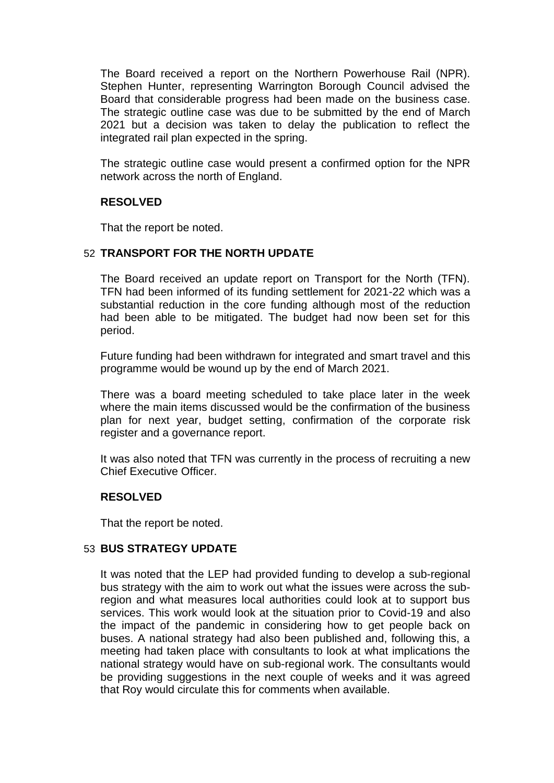The Board received a report on the Northern Powerhouse Rail (NPR). Stephen Hunter, representing Warrington Borough Council advised the Board that considerable progress had been made on the business case. The strategic outline case was due to be submitted by the end of March 2021 but a decision was taken to delay the publication to reflect the integrated rail plan expected in the spring.

The strategic outline case would present a confirmed option for the NPR network across the north of England.

### **RESOLVED**

That the report be noted.

#### 52 **TRANSPORT FOR THE NORTH UPDATE**

The Board received an update report on Transport for the North (TFN). TFN had been informed of its funding settlement for 2021-22 which was a substantial reduction in the core funding although most of the reduction had been able to be mitigated. The budget had now been set for this period.

Future funding had been withdrawn for integrated and smart travel and this programme would be wound up by the end of March 2021.

There was a board meeting scheduled to take place later in the week where the main items discussed would be the confirmation of the business plan for next year, budget setting, confirmation of the corporate risk register and a governance report.

It was also noted that TFN was currently in the process of recruiting a new Chief Executive Officer.

### **RESOLVED**

That the report be noted.

#### 53 **BUS STRATEGY UPDATE**

It was noted that the LEP had provided funding to develop a sub-regional bus strategy with the aim to work out what the issues were across the subregion and what measures local authorities could look at to support bus services. This work would look at the situation prior to Covid-19 and also the impact of the pandemic in considering how to get people back on buses. A national strategy had also been published and, following this, a meeting had taken place with consultants to look at what implications the national strategy would have on sub-regional work. The consultants would be providing suggestions in the next couple of weeks and it was agreed that Roy would circulate this for comments when available.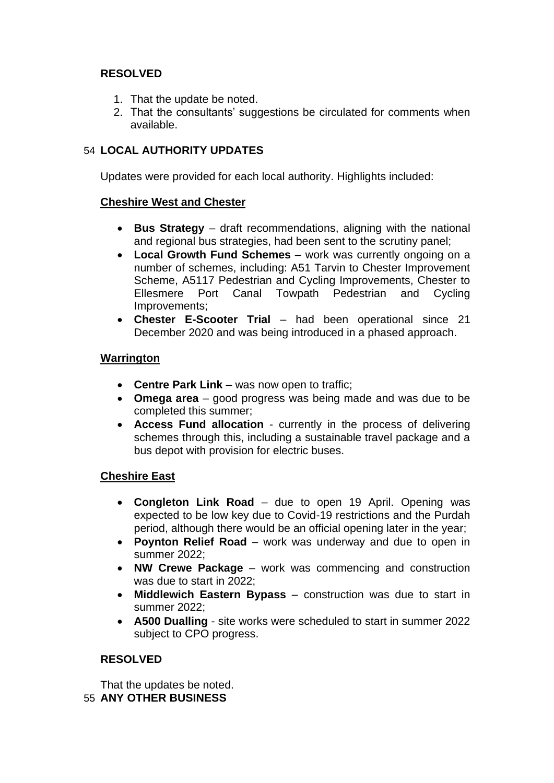# **RESOLVED**

- 1. That the update be noted.
- 2. That the consultants' suggestions be circulated for comments when available.

# 54 **LOCAL AUTHORITY UPDATES**

Updates were provided for each local authority. Highlights included:

# **Cheshire West and Chester**

- **Bus Strategy**  draft recommendations, aligning with the national and regional bus strategies, had been sent to the scrutiny panel;
- **Local Growth Fund Schemes**  work was currently ongoing on a number of schemes, including: A51 Tarvin to Chester Improvement Scheme, A5117 Pedestrian and Cycling Improvements, Chester to Ellesmere Port Canal Towpath Pedestrian and Cycling Improvements;
- **Chester E-Scooter Trial** had been operational since 21 December 2020 and was being introduced in a phased approach.

## **Warrington**

- **Centre Park Link** was now open to traffic;
- **Omega area** good progress was being made and was due to be completed this summer;
- **Access Fund allocation** currently in the process of delivering schemes through this, including a sustainable travel package and a bus depot with provision for electric buses.

# **Cheshire East**

- **Congleton Link Road** due to open 19 April. Opening was expected to be low key due to Covid-19 restrictions and the Purdah period, although there would be an official opening later in the year;
- **Poynton Relief Road** work was underway and due to open in summer 2022;
- **NW Crewe Package** work was commencing and construction was due to start in 2022;
- **Middlewich Eastern Bypass** construction was due to start in summer 2022;
- **A500 Dualling** site works were scheduled to start in summer 2022 subject to CPO progress.

# **RESOLVED**

That the updates be noted. 55 **ANY OTHER BUSINESS**